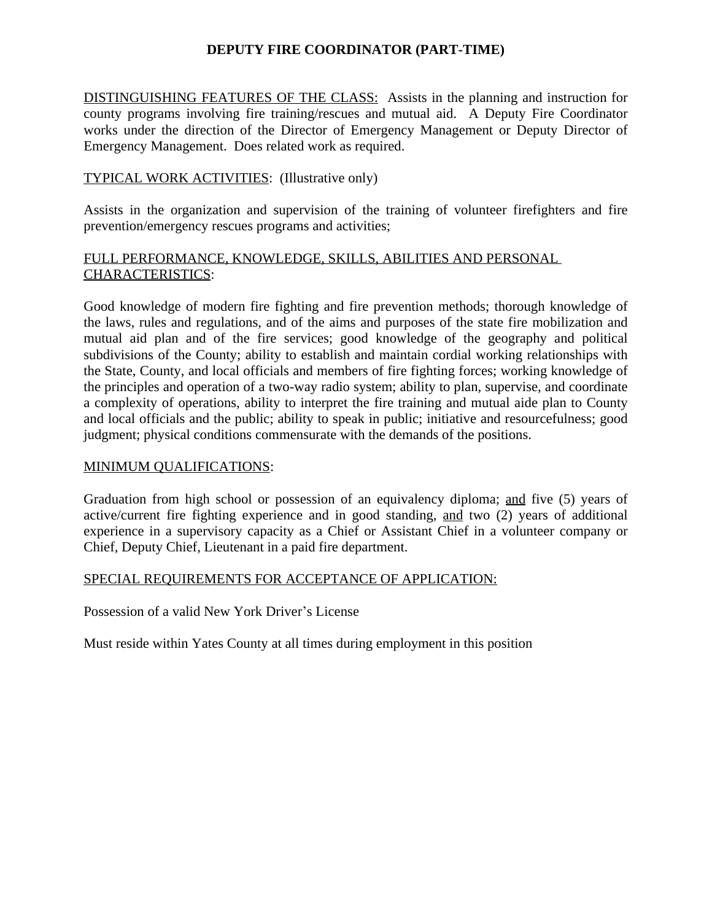# **DEPUTY FIRE COORDINATOR (PART-TIME)**

DISTINGUISHING FEATURES OF THE CLASS: Assists in the planning and instruction for county programs involving fire training/rescues and mutual aid. A Deputy Fire Coordinator works under the direction of the Director of Emergency Management or Deputy Director of Emergency Management. Does related work as required.

## TYPICAL WORK ACTIVITIES: (Illustrative only)

Assists in the organization and supervision of the training of volunteer firefighters and fire prevention/emergency rescues programs and activities;

## FULL PERFORMANCE, KNOWLEDGE, SKILLS, ABILITIES AND PERSONAL CHARACTERISTICS:

Good knowledge of modern fire fighting and fire prevention methods; thorough knowledge of the laws, rules and regulations, and of the aims and purposes of the state fire mobilization and mutual aid plan and of the fire services; good knowledge of the geography and political subdivisions of the County; ability to establish and maintain cordial working relationships with the State, County, and local officials and members of fire fighting forces; working knowledge of the principles and operation of a two-way radio system; ability to plan, supervise, and coordinate a complexity of operations, ability to interpret the fire training and mutual aide plan to County and local officials and the public; ability to speak in public; initiative and resourcefulness; good judgment; physical conditions commensurate with the demands of the positions.

### MINIMUM QUALIFICATIONS:

Graduation from high school or possession of an equivalency diploma; and five (5) years of active/current fire fighting experience and in good standing, and two (2) years of additional experience in a supervisory capacity as a Chief or Assistant Chief in a volunteer company or Chief, Deputy Chief, Lieutenant in a paid fire department.

### SPECIAL REQUIREMENTS FOR ACCEPTANCE OF APPLICATION:

Possession of a valid New York Driver's License

Must reside within Yates County at all times during employment in this position